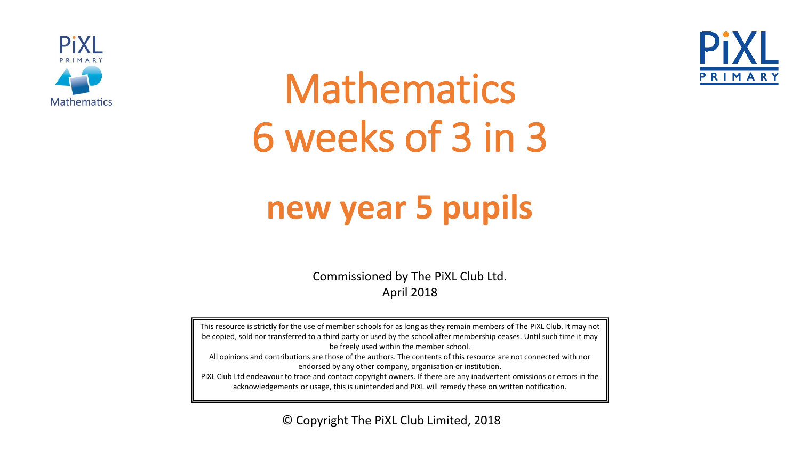



# Mathematics 6 weeks of 3 in 3

### **new year 5 pupils**

Commissioned by The PiXL Club Ltd. April 2018

This resource is strictly for the use of member schools for as long as they remain members of The PiXL Club. It may not be copied, sold nor transferred to a third party or used by the school after membership ceases. Until such time it may be freely used within the member school. All opinions and contributions are those of the authors. The contents of this resource are not connected with nor endorsed by any other company, organisation or institution. PiXL Club Ltd endeavour to trace and contact copyright owners. If there are any inadvertent omissions or errors in the acknowledgements or usage, this is unintended and PiXL will remedy these on written notification.

© Copyright The PiXL Club Limited, 2018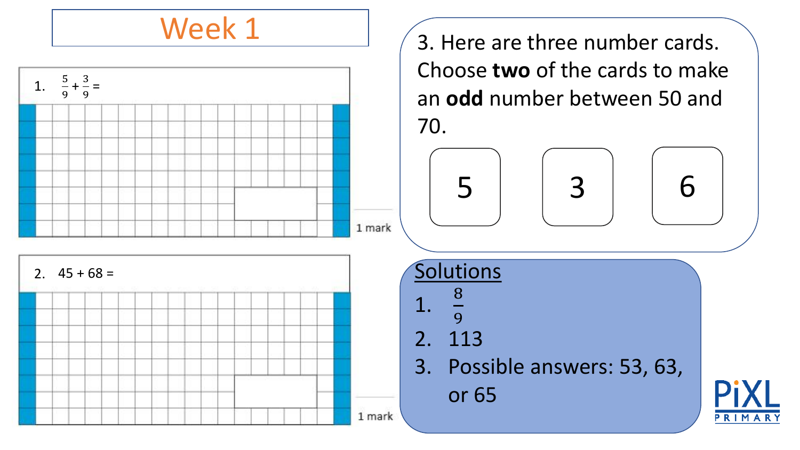

3. Here are three number cards. Choose **two** of the cards to make an **odd** number between 50 and 70.





3. Possible answers: 53, 63, or 65

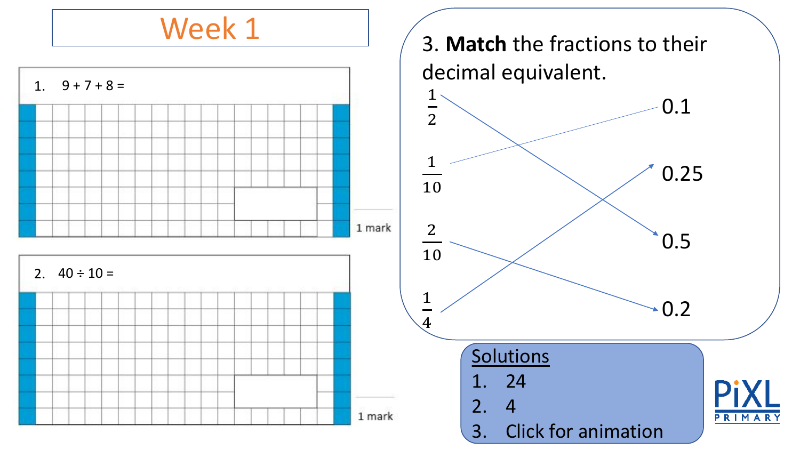

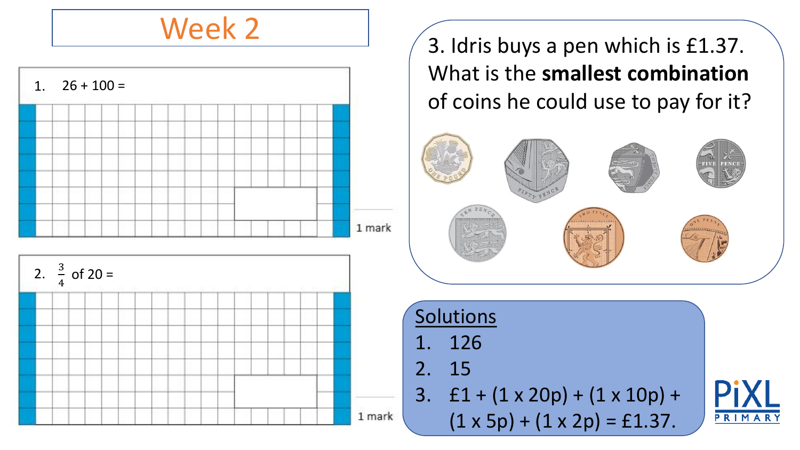

3. Idris buys a pen which is £1.37. What is the **smallest combination** of coins he could use to pay for it?



Solutions 1. 126 2. 15 3.  $£1 + (1 \times 20p) + (1 \times 10p) +$  $(1 \times 5p) + (1 \times 2p) =$  £1.37.

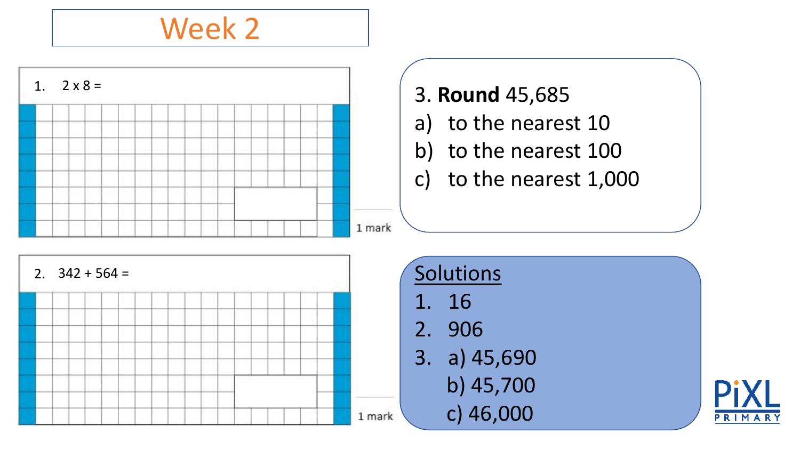

#### 3. **Round** 45,685

- a) to the nearest 10
- b) to the nearest 100
- c) to the nearest 1,000





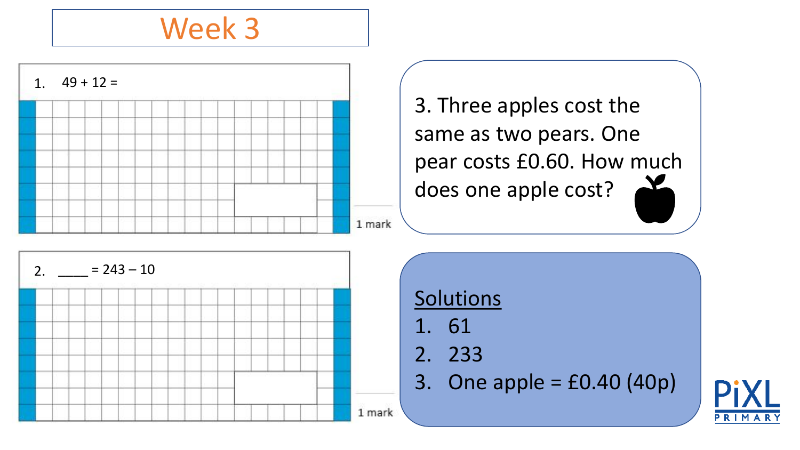

3. Three apples cost the same as two pears. One pear costs £0.60. How much does one apple cost?



Solutions 1. 61 2. 233 3. One apple = £0.40 (40p)

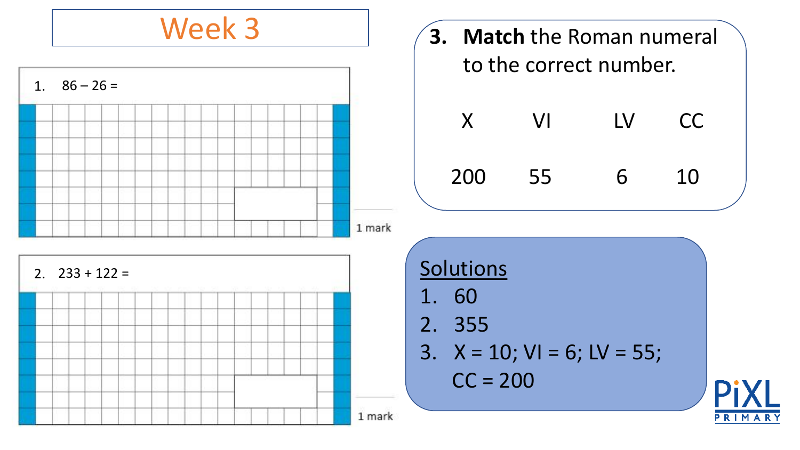

## **3. Match** the Roman numeral to the correct number. X VI LV CC 200 55 6 10 **Solutions** 1. 60 2. 355 3.  $X = 10$ ;  $VI = 6$ ;  $LV = 55$ ;  $CC = 200$ PRIMA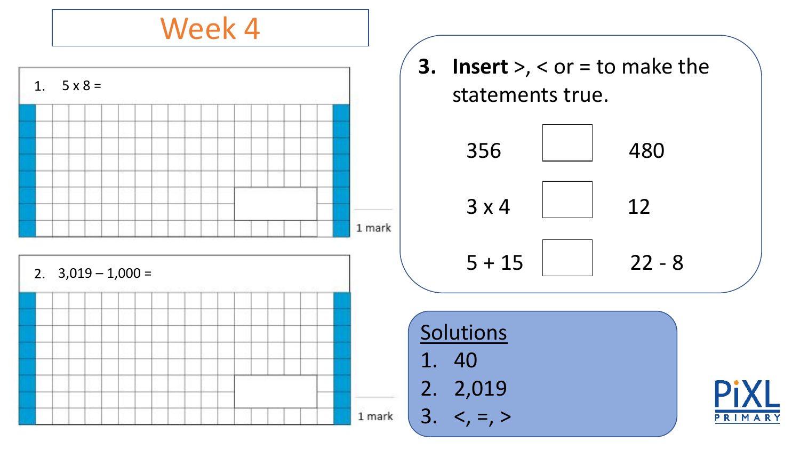

- **3. Insert** >, < or = to make the statements true. 356 480  $3 \times 4$  12  $5 + 15$  | 22 - 8
- **Solutions** 1. 40 2. 2,019  $3. <, =, >$

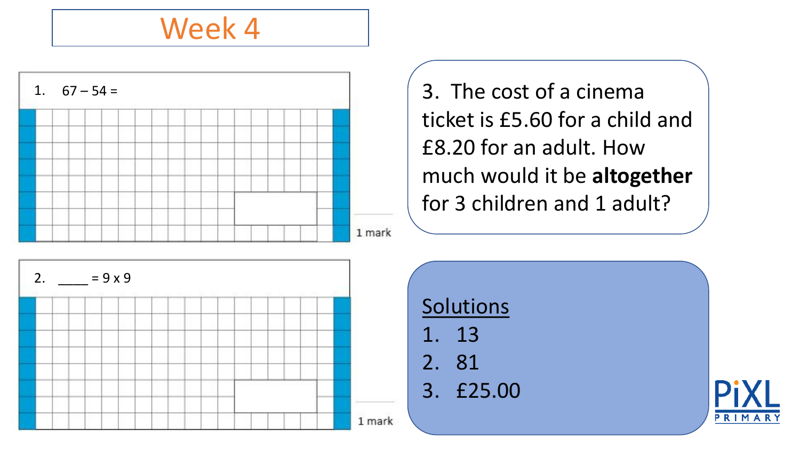

3. The cost of a cinema ticket is £5.60 for a child and £8.20 for an adult. How much would it be **altogether**  for 3 children and 1 adult?





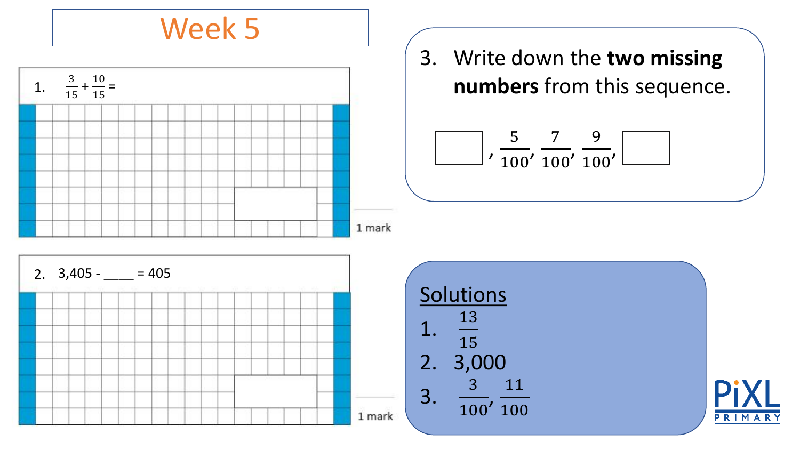

3. Write down the **two missing numbers** from this sequence.

$$
\boxed{\qquad \, ,\, \frac{5}{100},\, \frac{7}{100},\, \frac{9}{100},\, \boxed{\qquad \qquad}}
$$



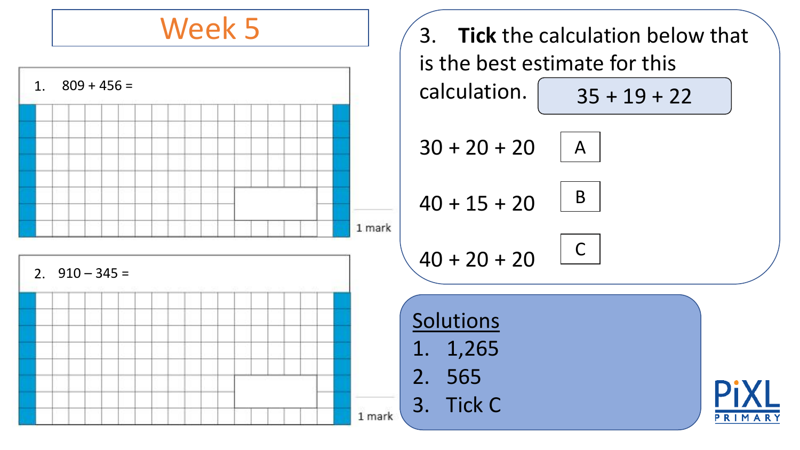

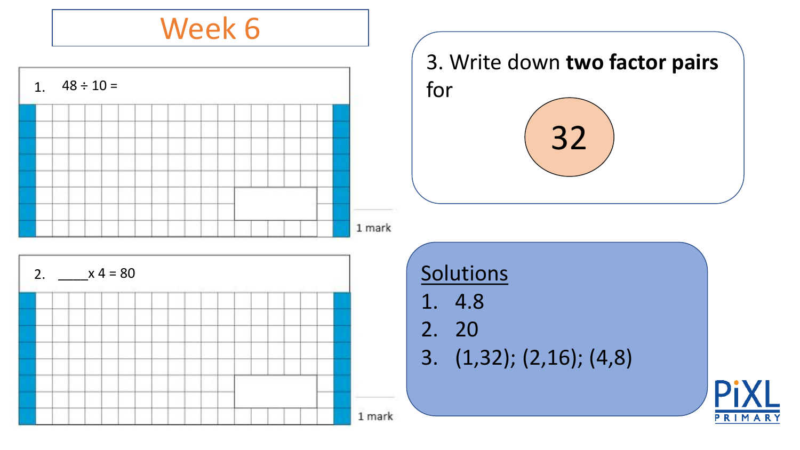



PRIMA

1 mark